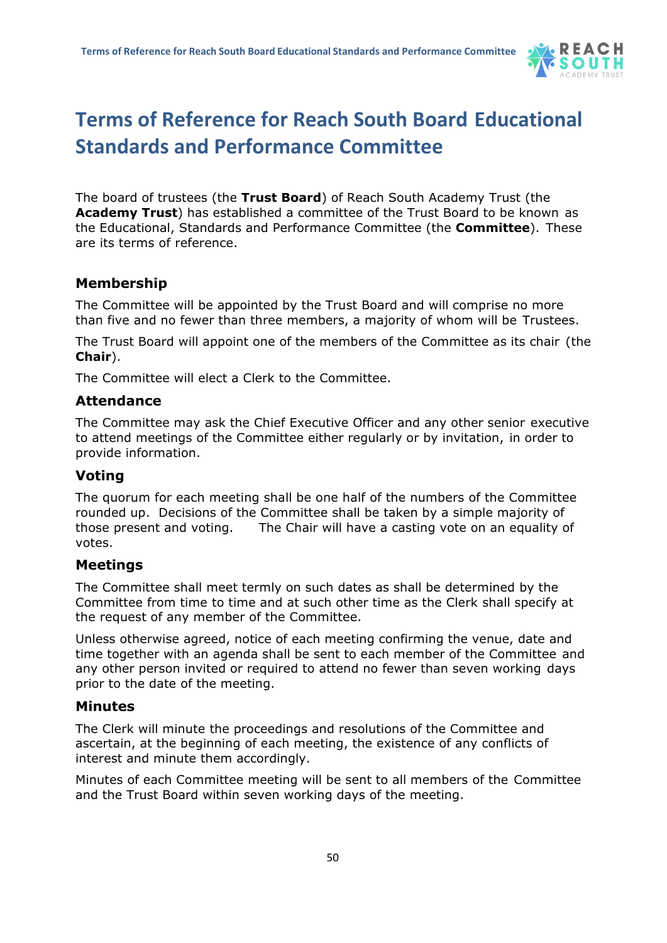

# **Terms of Reference for Reach South Board Educational Standards and Performance Committee**

The board of trustees (the **Trust Board**) of Reach South Academy Trust (the **Academy Trust**) has established a committee of the Trust Board to be known as the Educational, Standards and Performance Committee (the **Committee**). These are its terms of reference.

### **Membership**

The Committee will be appointed by the Trust Board and will comprise no more than five and no fewer than three members, a majority of whom will be Trustees.

The Trust Board will appoint one of the members of the Committee as its chair (the **Chair**).

The Committee will elect a Clerk to the Committee.

#### **Attendance**

The Committee may ask the Chief Executive Officer and any other senior executive to attend meetings of the Committee either regularly or by invitation, in order to provide information.

#### **Voting**

The quorum for each meeting shall be one half of the numbers of the Committee rounded up. Decisions of the Committee shall be taken by a simple majority of those present and voting. The Chair will have a casting vote on an equality of votes.

#### **Meetings**

The Committee shall meet termly on such dates as shall be determined by the Committee from time to time and at such other time as the Clerk shall specify at the request of any member of the Committee.

Unless otherwise agreed, notice of each meeting confirming the venue, date and time together with an agenda shall be sent to each member of the Committee and any other person invited or required to attend no fewer than seven working days prior to the date of the meeting.

#### **Minutes**

The Clerk will minute the proceedings and resolutions of the Committee and ascertain, at the beginning of each meeting, the existence of any conflicts of interest and minute them accordingly.

Minutes of each Committee meeting will be sent to all members of the Committee and the Trust Board within seven working days of the meeting.